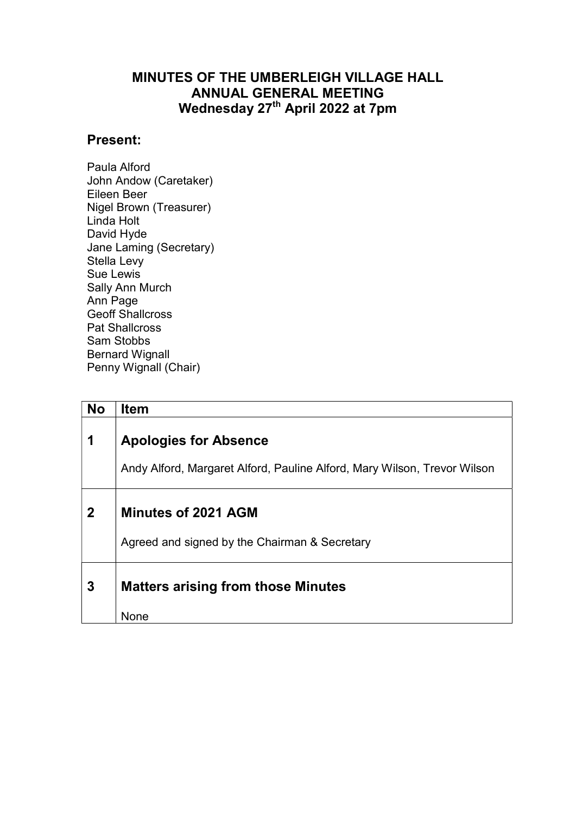## MINUTES OF THE UMBERLEIGH VILLAGE HALL ANNUAL GENERAL MEETING Wednesday 27<sup>th</sup> April 2022 at 7pm

## Present:

Paula Alford John Andow (Caretaker) Eileen Beer Nigel Brown (Treasurer) Linda Holt David Hyde Jane Laming (Secretary) Stella Levy Sue Lewis Sally Ann Murch Ann Page Geoff Shallcross Pat Shallcross Sam Stobbs Bernard Wignall Penny Wignall (Chair)

| <b>No</b>   | <b>Item</b>                                                                                              |
|-------------|----------------------------------------------------------------------------------------------------------|
| 1           | <b>Apologies for Absence</b><br>Andy Alford, Margaret Alford, Pauline Alford, Mary Wilson, Trevor Wilson |
| $\mathbf 2$ | Minutes of 2021 AGM<br>Agreed and signed by the Chairman & Secretary                                     |
| 3           | <b>Matters arising from those Minutes</b><br>None                                                        |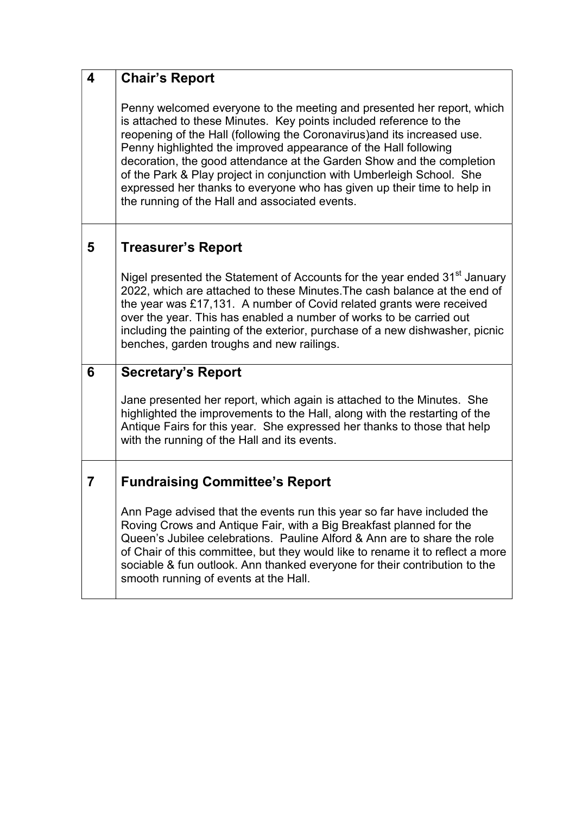| $\boldsymbol{4}$ | <b>Chair's Report</b>                                                                                                                                                                                                                                                                                                                                                                                                                                                                                                                                                      |
|------------------|----------------------------------------------------------------------------------------------------------------------------------------------------------------------------------------------------------------------------------------------------------------------------------------------------------------------------------------------------------------------------------------------------------------------------------------------------------------------------------------------------------------------------------------------------------------------------|
|                  | Penny welcomed everyone to the meeting and presented her report, which<br>is attached to these Minutes. Key points included reference to the<br>reopening of the Hall (following the Coronavirus) and its increased use.<br>Penny highlighted the improved appearance of the Hall following<br>decoration, the good attendance at the Garden Show and the completion<br>of the Park & Play project in conjunction with Umberleigh School. She<br>expressed her thanks to everyone who has given up their time to help in<br>the running of the Hall and associated events. |
| 5                | <b>Treasurer's Report</b>                                                                                                                                                                                                                                                                                                                                                                                                                                                                                                                                                  |
|                  | Nigel presented the Statement of Accounts for the year ended 31 <sup>st</sup> January<br>2022, which are attached to these Minutes. The cash balance at the end of<br>the year was £17,131. A number of Covid related grants were received<br>over the year. This has enabled a number of works to be carried out<br>including the painting of the exterior, purchase of a new dishwasher, picnic<br>benches, garden troughs and new railings.                                                                                                                             |
| 6                | <b>Secretary's Report</b>                                                                                                                                                                                                                                                                                                                                                                                                                                                                                                                                                  |
|                  | Jane presented her report, which again is attached to the Minutes. She<br>highlighted the improvements to the Hall, along with the restarting of the<br>Antique Fairs for this year. She expressed her thanks to those that help<br>with the running of the Hall and its events.                                                                                                                                                                                                                                                                                           |
| 7                | <b>Fundraising Committee's Report</b>                                                                                                                                                                                                                                                                                                                                                                                                                                                                                                                                      |
|                  | Ann Page advised that the events run this year so far have included the<br>Roving Crows and Antique Fair, with a Big Breakfast planned for the<br>Queen's Jubilee celebrations. Pauline Alford & Ann are to share the role<br>of Chair of this committee, but they would like to rename it to reflect a more<br>sociable & fun outlook. Ann thanked everyone for their contribution to the<br>smooth running of events at the Hall.                                                                                                                                        |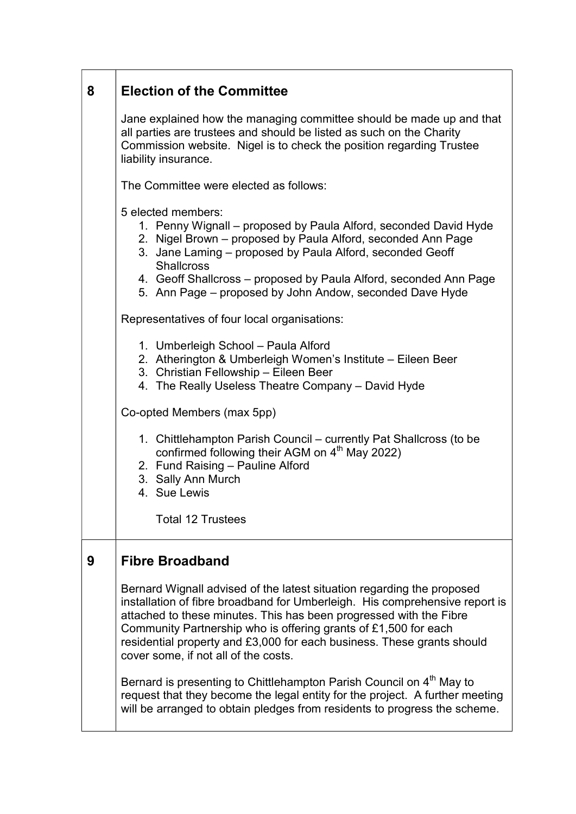## 8 Election of the Committee

Jane explained how the managing committee should be made up and that all parties are trustees and should be listed as such on the Charity Commission website. Nigel is to check the position regarding Trustee liability insurance.

The Committee were elected as follows:

5 elected members:

- 1. Penny Wignall proposed by Paula Alford, seconded David Hyde
- 2. Nigel Brown proposed by Paula Alford, seconded Ann Page
- 3. Jane Laming proposed by Paula Alford, seconded Geoff **Shallcross**
- 4. Geoff Shallcross proposed by Paula Alford, seconded Ann Page
- 5. Ann Page proposed by John Andow, seconded Dave Hyde

Representatives of four local organisations:

- 1. Umberleigh School Paula Alford
- 2. Atherington & Umberleigh Women's Institute Eileen Beer
- 3. Christian Fellowship Eileen Beer
- 4. The Really Useless Theatre Company David Hyde

Co-opted Members (max 5pp)

- 1. Chittlehampton Parish Council currently Pat Shallcross (to be confirmed following their AGM on  $4<sup>th</sup>$  May 2022)
- 2. Fund Raising Pauline Alford
- 3. Sally Ann Murch
- 4. Sue Lewis

Total 12 Trustees

## 9 Fibre Broadband

Bernard Wignall advised of the latest situation regarding the proposed installation of fibre broadband for Umberleigh. His comprehensive report is attached to these minutes. This has been progressed with the Fibre Community Partnership who is offering grants of £1,500 for each residential property and £3,000 for each business. These grants should cover some, if not all of the costs.

Bernard is presenting to Chittlehampton Parish Council on 4<sup>th</sup> May to request that they become the legal entity for the project. A further meeting will be arranged to obtain pledges from residents to progress the scheme.